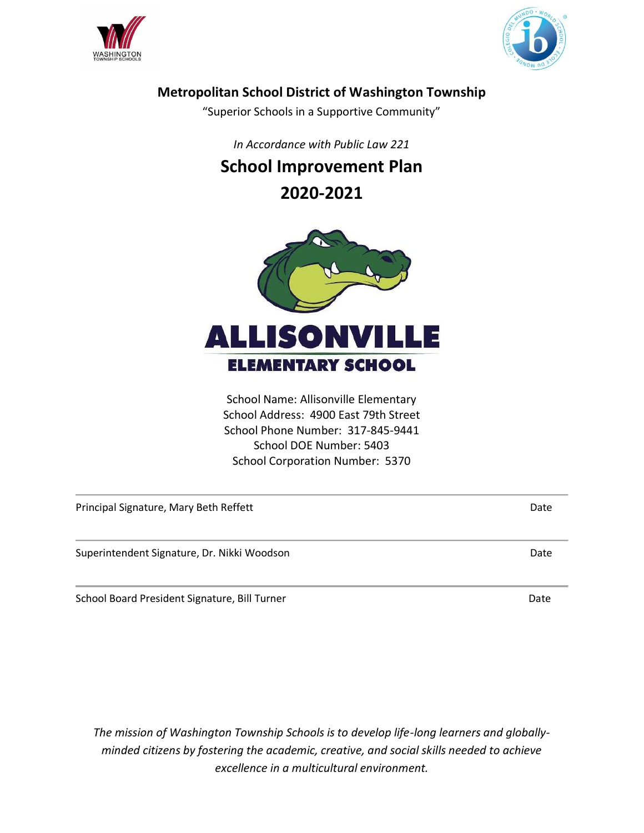



# **Metropolitan School District of Washington Township**

"Superior Schools in a Supportive Community"

*In Accordance with Public Law 221* 

# **School Improvement Plan**

**2020-2021**



School Name: Allisonville Elementary School Address: 4900 East 79th Street School Phone Number: 317-845-9441 School DOE Number: 5403 School Corporation Number: 5370

| Principal Signature, Mary Beth Reffett<br>Date |      |  |
|------------------------------------------------|------|--|
| Superintendent Signature, Dr. Nikki Woodson    | Date |  |
| School Board President Signature, Bill Turner  | Date |  |

*The mission of Washington Township Schools is to develop life-long learners and globallyminded citizens by fostering the academic, creative, and social skills needed to achieve excellence in a multicultural environment.*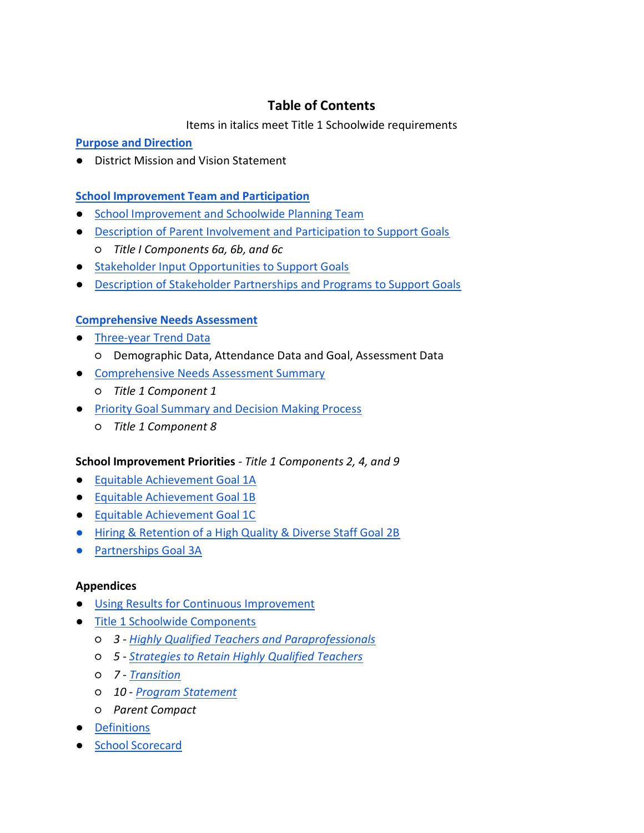# **Table of Contents**

Items in italics meet Title 1 Schoolwide requirements

### <span id="page-1-0"></span>**[Purpose and Direction](#page-2-0)**

● District Mission and Vision Statement

### **School Improvement Team and Participation**

- School Improvement and Schoolwide Planning Team
- Description of Parent Involvement and Participation to Support Goals
	- *Title I Components 6a, 6b, and 6c*
- Stakeholder Input Opportunities to Support Goals
- Description of Stakeholder Partnerships and Programs to Support Goals

### **[Comprehensive Needs Assessment](#page-3-0)**

- [Three-year Trend Data](#page-3-1)
	- Demographic Data, Attendance Data and Goal, Assessment Data
- [Comprehensive Needs Assessment Summary](#page-5-0) 
	- *Title 1 Component 1*
- Priority Goal Summary and Decision Making Process
	- *Title 1 Component 8*

### **School Improvement Priorities** *- Title 1 Components 2, 4, and 9*

- [Equitable Achievement Goal 1A](#page-8-0)
- [Equitable Achievement Goal 1B](#page-13-0)
- [Equitable Achievement Goal 1C](#page-16-0)
- [Hiring & Retention of a High Quality & Diverse Staff Goal 2B](#page-17-0)
- Partnerships Goal 3A

### **Appendices**

- Using Results for Continuous Improvement
- Title 1 Schoolwide Components
	- *3 Highly Qualified Teachers and Paraprofessionals*
	- *5 Strategies to Retain Highly Qualified Teachers*
	- *7 Transition*
	- *10 Program Statement*
	- *Parent Compact*
- Definitions
- School Scorecard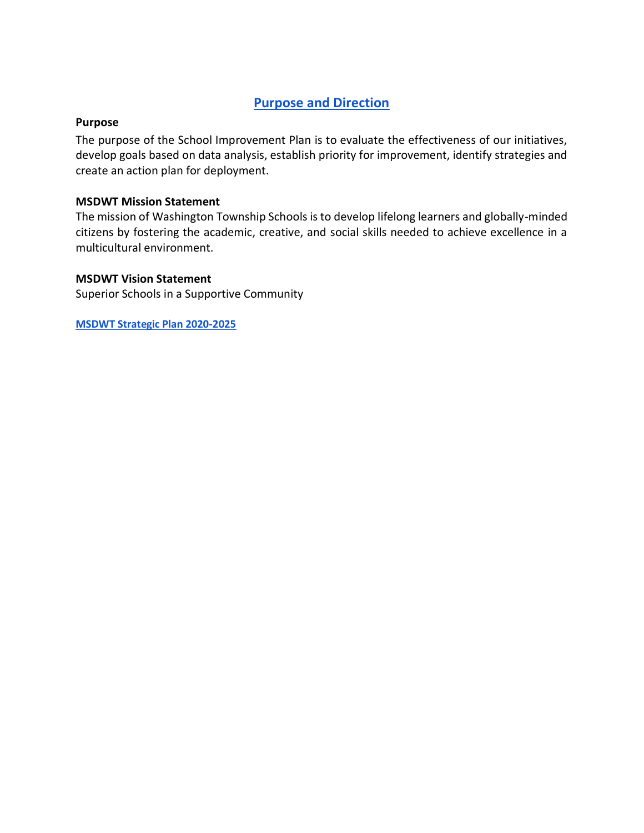# <span id="page-2-0"></span>**[Purpose and Direction](#page-1-0)**

#### **Purpose**

The purpose of the School Improvement Plan is to evaluate the effectiveness of our initiatives, develop goals based on data analysis, establish priority for improvement, identify strategies and create an action plan for deployment.

### **MSDWT Mission Statement**

The mission of Washington Township Schools is to develop lifelong learners and globally-minded citizens by fostering the academic, creative, and social skills needed to achieve excellence in a multicultural environment.

#### **MSDWT Vision Statement**

Superior Schools in a Supportive Community

**[MSDWT Strategic Plan 2020-2025](https://3iswt822djrf1w7fnq2odzfc-wpengine.netdna-ssl.com/wp-content/uploads/2020/07/2020-2025-WT-Strategic-Plan.pdf)**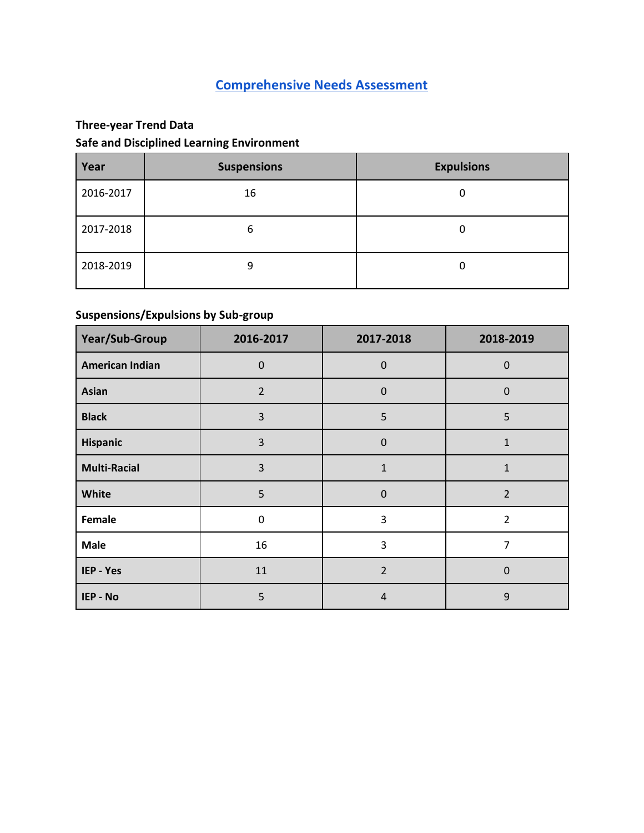# <span id="page-3-0"></span>**[Comprehensive Needs Assessment](#page-1-0)**

# <span id="page-3-1"></span>**Three-year Trend Data**

# **Safe and Disciplined Learning Environment**

| Year      | <b>Suspensions</b> | <b>Expulsions</b> |
|-----------|--------------------|-------------------|
| 2016-2017 | 16                 | 0                 |
| 2017-2018 | 6                  | 0                 |
| 2018-2019 | 9                  | 0                 |

# **Suspensions/Expulsions by Sub-group**

| Year/Sub-Group         | 2016-2017      | 2017-2018      | 2018-2019      |
|------------------------|----------------|----------------|----------------|
| <b>American Indian</b> | $\mathbf 0$    | $\mathbf 0$    | $\mathbf 0$    |
| <b>Asian</b>           | $\overline{2}$ | $\mathbf 0$    | $\mathbf 0$    |
| <b>Black</b>           | 3              | 5              | 5              |
| Hispanic               | 3              | $\mathbf 0$    | $\mathbf{1}$   |
| <b>Multi-Racial</b>    | $\mathsf{3}$   | $\mathbf{1}$   | $\mathbf{1}$   |
| White                  | 5              | $\mathbf 0$    | $\overline{2}$ |
| Female                 | 0              | 3              | $\overline{2}$ |
| <b>Male</b>            | 16             | 3              | 7              |
| IEP - Yes              | 11             | $\overline{2}$ | $\mathbf 0$    |
| IEP - No               | 5              | $\overline{4}$ | 9              |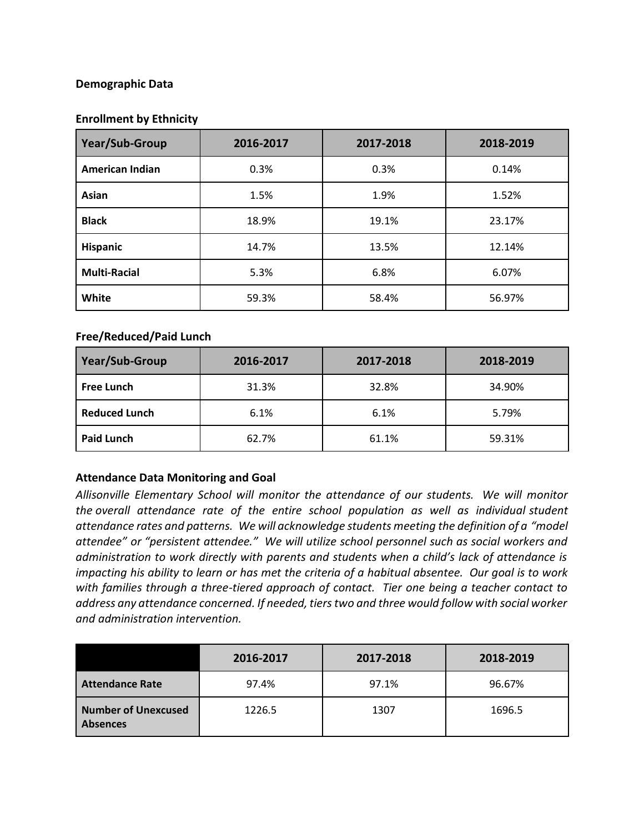### **Demographic Data**

#### **Enrollment by Ethnicity**

| Year/Sub-Group         | 2016-2017 | 2017-2018 | 2018-2019 |
|------------------------|-----------|-----------|-----------|
| <b>American Indian</b> | 0.3%      | 0.3%      | 0.14%     |
| Asian                  | 1.5%      | 1.9%      | 1.52%     |
| <b>Black</b>           | 18.9%     | 19.1%     | 23.17%    |
| <b>Hispanic</b>        | 14.7%     | 13.5%     | 12.14%    |
| <b>Multi-Racial</b>    | 5.3%      | 6.8%      | 6.07%     |
| White                  | 59.3%     | 58.4%     | 56.97%    |

#### **Free/Reduced/Paid Lunch**

| Year/Sub-Group       | 2016-2017 | 2017-2018 | 2018-2019 |  |
|----------------------|-----------|-----------|-----------|--|
| <b>Free Lunch</b>    | 31.3%     | 32.8%     | 34.90%    |  |
| <b>Reduced Lunch</b> | 6.1%      | 6.1%      | 5.79%     |  |
| <b>Paid Lunch</b>    | 62.7%     | 61.1%     | 59.31%    |  |

### **Attendance Data Monitoring and Goal**

*Allisonville Elementary School will monitor the attendance of our students. We will monitor the overall attendance rate of the entire school population as well as individual student*  attendance rates and patterns. We will acknowledge students meeting the definition of a "model *attendee" or "persistent attendee." We will utilize school personnel such as social workers and administration to work directly with parents and students when a child's lack of attendance is impacting his ability to learn or has met the criteria of a habitual absentee. Our goal is to work with families through a three-tiered approach of contact. Tier one being a teacher contact to address any attendance concerned. If needed, tiers two and three would follow with social worker and administration intervention.*

|                                               | 2016-2017 | 2017-2018 | 2018-2019 |
|-----------------------------------------------|-----------|-----------|-----------|
| <b>Attendance Rate</b>                        | 97.4%     | 97.1%     | 96.67%    |
| <b>Number of Unexcused</b><br><b>Absences</b> | 1226.5    | 1307      | 1696.5    |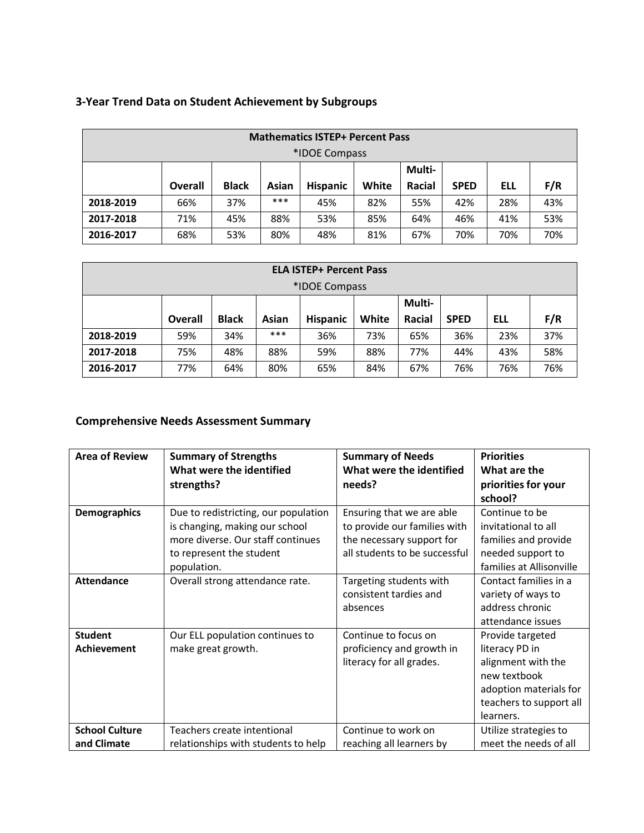|           |         |              |       | <b>Mathematics ISTEP+ Percent Pass</b><br>*IDOE Compass |       |        |             |     |     |
|-----------|---------|--------------|-------|---------------------------------------------------------|-------|--------|-------------|-----|-----|
|           |         |              |       |                                                         |       | Multi- |             |     |     |
|           | Overall | <b>Black</b> | Asian | <b>Hispanic</b>                                         | White | Racial | <b>SPED</b> | ell | F/R |
| 2018-2019 | 66%     | 37%          | ***   | 45%                                                     | 82%   | 55%    | 42%         | 28% | 43% |
| 2017-2018 | 71%     | 45%          | 88%   | 53%                                                     | 85%   | 64%    | 46%         | 41% | 53% |
| 2016-2017 | 68%     | 53%          | 80%   | 48%                                                     | 81%   | 67%    | 70%         | 70% | 70% |

# **3-Year Trend Data on Student Achievement by Subgroups**

|           |         |              |       | <b>ELA ISTEP+ Percent Pass</b> |       |        |             |     |     |
|-----------|---------|--------------|-------|--------------------------------|-------|--------|-------------|-----|-----|
|           |         |              |       | *IDOE Compass                  |       |        |             |     |     |
|           |         |              |       |                                |       | Multi- |             |     |     |
|           | Overall | <b>Black</b> | Asian | <b>Hispanic</b>                | White | Racial | <b>SPED</b> | Ell | F/R |
| 2018-2019 | 59%     | 34%          | ***   | 36%                            | 73%   | 65%    | 36%         | 23% | 37% |
| 2017-2018 | 75%     | 48%          | 88%   | 59%                            | 88%   | 77%    | 44%         | 43% | 58% |
| 2016-2017 | 77%     | 64%          | 80%   | 65%                            | 84%   | 67%    | 76%         | 76% | 76% |

# <span id="page-5-0"></span>**Comprehensive Needs Assessment Summary**

| <b>Area of Review</b>                | <b>Summary of Strengths</b><br>What were the identified<br>strengths?                                                                                  | <b>Summary of Needs</b><br>What were the identified<br>needs?                                                           | <b>Priorities</b><br>What are the<br>priorities for your<br>school?                                                                        |
|--------------------------------------|--------------------------------------------------------------------------------------------------------------------------------------------------------|-------------------------------------------------------------------------------------------------------------------------|--------------------------------------------------------------------------------------------------------------------------------------------|
| <b>Demographics</b>                  | Due to redistricting, our population<br>is changing, making our school<br>more diverse. Our staff continues<br>to represent the student<br>population. | Ensuring that we are able<br>to provide our families with<br>the necessary support for<br>all students to be successful | Continue to be<br>invitational to all<br>families and provide<br>needed support to<br>families at Allisonville                             |
| <b>Attendance</b>                    | Overall strong attendance rate.                                                                                                                        | Targeting students with<br>consistent tardies and<br>absences                                                           | Contact families in a<br>variety of ways to<br>address chronic<br>attendance issues                                                        |
| <b>Student</b><br>Achievement        | Our ELL population continues to<br>make great growth.                                                                                                  | Continue to focus on<br>proficiency and growth in<br>literacy for all grades.                                           | Provide targeted<br>literacy PD in<br>alignment with the<br>new textbook<br>adoption materials for<br>teachers to support all<br>learners. |
| <b>School Culture</b><br>and Climate | Teachers create intentional<br>relationships with students to help                                                                                     | Continue to work on<br>reaching all learners by                                                                         | Utilize strategies to<br>meet the needs of all                                                                                             |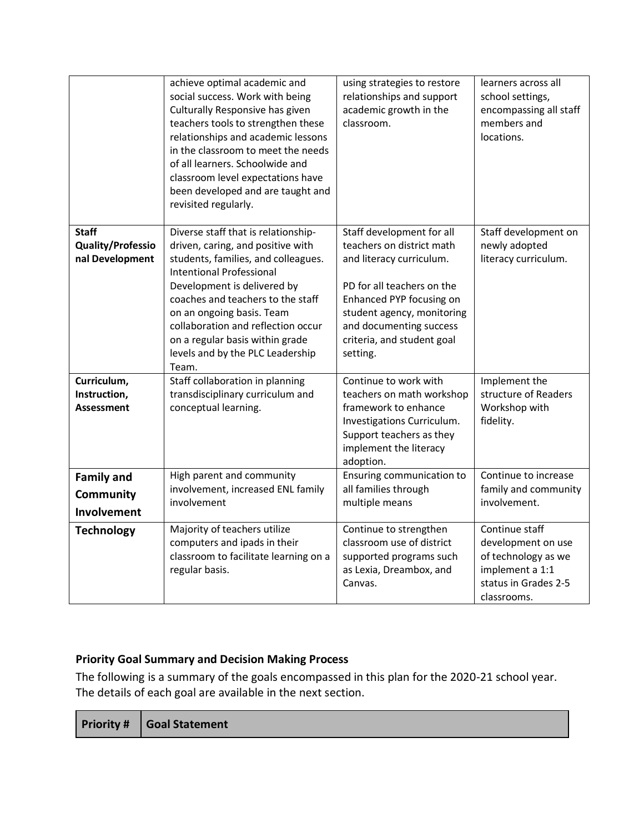|                                                             | achieve optimal academic and<br>social success. Work with being<br>Culturally Responsive has given<br>teachers tools to strengthen these<br>relationships and academic lessons<br>in the classroom to meet the needs<br>of all learners. Schoolwide and<br>classroom level expectations have<br>been developed and are taught and<br>revisited regularly.                 | using strategies to restore<br>relationships and support<br>academic growth in the<br>classroom.                                                                                                                                                | learners across all<br>school settings,<br>encompassing all staff<br>members and<br>locations.                        |
|-------------------------------------------------------------|---------------------------------------------------------------------------------------------------------------------------------------------------------------------------------------------------------------------------------------------------------------------------------------------------------------------------------------------------------------------------|-------------------------------------------------------------------------------------------------------------------------------------------------------------------------------------------------------------------------------------------------|-----------------------------------------------------------------------------------------------------------------------|
| <b>Staff</b><br><b>Quality/Professio</b><br>nal Development | Diverse staff that is relationship-<br>driven, caring, and positive with<br>students, families, and colleagues.<br><b>Intentional Professional</b><br>Development is delivered by<br>coaches and teachers to the staff<br>on an ongoing basis. Team<br>collaboration and reflection occur<br>on a regular basis within grade<br>levels and by the PLC Leadership<br>Team. | Staff development for all<br>teachers on district math<br>and literacy curriculum.<br>PD for all teachers on the<br>Enhanced PYP focusing on<br>student agency, monitoring<br>and documenting success<br>criteria, and student goal<br>setting. | Staff development on<br>newly adopted<br>literacy curriculum.                                                         |
| Curriculum,<br>Instruction,<br><b>Assessment</b>            | Staff collaboration in planning<br>transdisciplinary curriculum and<br>conceptual learning.                                                                                                                                                                                                                                                                               | Continue to work with<br>teachers on math workshop<br>framework to enhance<br>Investigations Curriculum.<br>Support teachers as they<br>implement the literacy<br>adoption.                                                                     | Implement the<br>structure of Readers<br>Workshop with<br>fidelity.                                                   |
| <b>Family and</b><br>Community<br>Involvement               | High parent and community<br>involvement, increased ENL family<br>involvement                                                                                                                                                                                                                                                                                             | Ensuring communication to<br>all families through<br>multiple means                                                                                                                                                                             | Continue to increase<br>family and community<br>involvement.                                                          |
| <b>Technology</b>                                           | Majority of teachers utilize<br>computers and ipads in their<br>classroom to facilitate learning on a<br>regular basis.                                                                                                                                                                                                                                                   | Continue to strengthen<br>classroom use of district<br>supported programs such<br>as Lexia, Dreambox, and<br>Canvas.                                                                                                                            | Continue staff<br>development on use<br>of technology as we<br>implement a 1:1<br>status in Grades 2-5<br>classrooms. |

### <span id="page-6-0"></span>**Priority Goal Summary and Decision Making Process**

The following is a summary of the goals encompassed in this plan for the 2020-21 school year. The details of each goal are available in the next section.

|  | <b>Priority # Goal Statement</b> |
|--|----------------------------------|
|--|----------------------------------|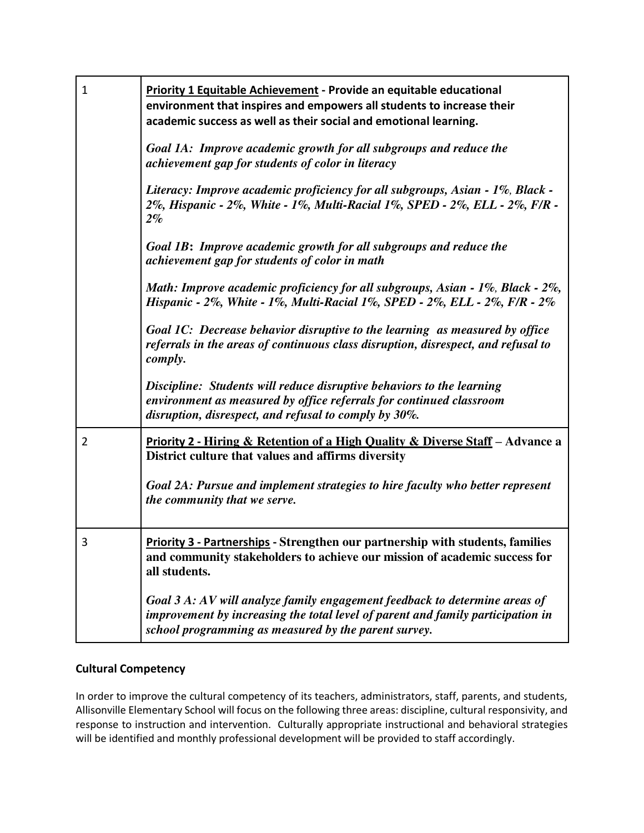| 1 | Priority 1 Equitable Achievement - Provide an equitable educational<br>environment that inspires and empowers all students to increase their<br>academic success as well as their social and emotional learning.      |
|---|-----------------------------------------------------------------------------------------------------------------------------------------------------------------------------------------------------------------------|
|   | Goal 1A: Improve academic growth for all subgroups and reduce the<br>achievement gap for students of color in literacy                                                                                                |
|   | Literacy: Improve academic proficiency for all subgroups, Asian - 1%, Black -<br>2%, Hispanic - 2%, White - 1%, Multi-Racial 1%, SPED - 2%, ELL - 2%, F/R -<br>$2\%$                                                  |
|   | Goal 1B: Improve academic growth for all subgroups and reduce the<br>achievement gap for students of color in math                                                                                                    |
|   | Math: Improve academic proficiency for all subgroups, Asian - 1%, Black - 2%,<br>Hispanic - 2%, White - 1%, Multi-Racial 1%, SPED - 2%, ELL - 2%, F/R - 2%                                                            |
|   | Goal 1C: Decrease behavior disruptive to the learning as measured by office<br>referrals in the areas of continuous class disruption, disrespect, and refusal to<br>comply.                                           |
|   | Discipline: Students will reduce disruptive behaviors to the learning<br>environment as measured by office referrals for continued classroom<br>disruption, disrespect, and refusal to comply by 30%.                 |
| 2 | Priority 2 - Hiring & Retention of a High Quality & Diverse Staff - Advance a<br>District culture that values and affirms diversity                                                                                   |
|   | Goal 2A: Pursue and implement strategies to hire faculty who better represent<br>the community that we serve.                                                                                                         |
| 3 | <b>Priority 3 - Partnerships - Strengthen our partnership with students, families</b><br>and community stakeholders to achieve our mission of academic success for<br>all students.                                   |
|   | Goal 3 A: AV will analyze family engagement feedback to determine areas of<br>improvement by increasing the total level of parent and family participation in<br>school programming as measured by the parent survey. |

### **Cultural Competency**

In order to improve the cultural competency of its teachers, administrators, staff, parents, and students, Allisonville Elementary School will focus on the following three areas: discipline, cultural responsivity, and response to instruction and intervention. Culturally appropriate instructional and behavioral strategies will be identified and monthly professional development will be provided to staff accordingly.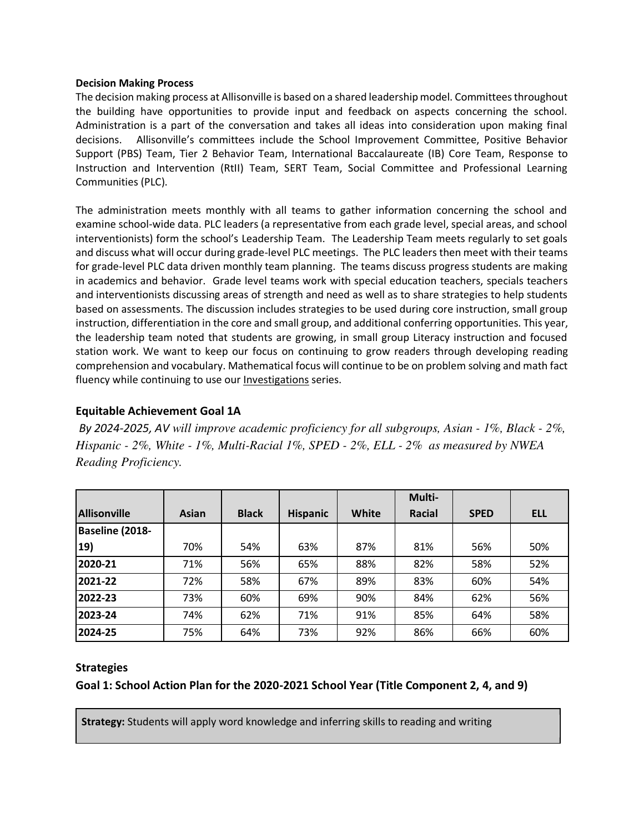#### **Decision Making Process**

The decision making process at Allisonville is based on a shared leadership model. Committees throughout the building have opportunities to provide input and feedback on aspects concerning the school. Administration is a part of the conversation and takes all ideas into consideration upon making final decisions. Allisonville's committees include the School Improvement Committee, Positive Behavior Support (PBS) Team, Tier 2 Behavior Team, International Baccalaureate (IB) Core Team, Response to Instruction and Intervention (RtII) Team, SERT Team, Social Committee and Professional Learning Communities (PLC).

The administration meets monthly with all teams to gather information concerning the school and examine school-wide data. PLC leaders (a representative from each grade level, special areas, and school interventionists) form the school's Leadership Team. The Leadership Team meets regularly to set goals and discuss what will occur during grade-level PLC meetings. The PLC leaders then meet with their teams for grade-level PLC data driven monthly team planning. The teams discuss progress students are making in academics and behavior. Grade level teams work with special education teachers, specials teachers and interventionists discussing areas of strength and need as well as to share strategies to help students based on assessments. The discussion includes strategies to be used during core instruction, small group instruction, differentiation in the core and small group, and additional conferring opportunities. This year, the leadership team noted that students are growing, in small group Literacy instruction and focused station work. We want to keep our focus on continuing to grow readers through developing reading comprehension and vocabulary. Mathematical focus will continue to be on problem solving and math fact fluency while continuing to use our Investigations series.

### <span id="page-8-0"></span>**Equitable Achievement Goal 1A**

*By 2024-2025, AV will improve academic proficiency for all subgroups, Asian - 1%, Black - 2%, Hispanic - 2%, White - 1%, Multi-Racial 1%, SPED - 2%, ELL - 2% as measured by NWEA Reading Proficiency.* 

|                     |       |              |                 |       | Multi- |             |            |
|---------------------|-------|--------------|-----------------|-------|--------|-------------|------------|
| <b>Allisonville</b> | Asian | <b>Black</b> | <b>Hispanic</b> | White | Racial | <b>SPED</b> | <b>ELL</b> |
| Baseline (2018-     |       |              |                 |       |        |             |            |
| $ 19\rangle$        | 70%   | 54%          | 63%             | 87%   | 81%    | 56%         | 50%        |
| 2020-21             | 71%   | 56%          | 65%             | 88%   | 82%    | 58%         | 52%        |
| 2021-22             | 72%   | 58%          | 67%             | 89%   | 83%    | 60%         | 54%        |
| 2022-23             | 73%   | 60%          | 69%             | 90%   | 84%    | 62%         | 56%        |
| 2023-24             | 74%   | 62%          | 71%             | 91%   | 85%    | 64%         | 58%        |
| 2024-25             | 75%   | 64%          | 73%             | 92%   | 86%    | 66%         | 60%        |

### **Strategies**

**Goal 1: School Action Plan for the 2020-2021 School Year (Title Component 2, 4, and 9)** 

**Strategy:** Students will apply word knowledge and inferring skills to reading and writing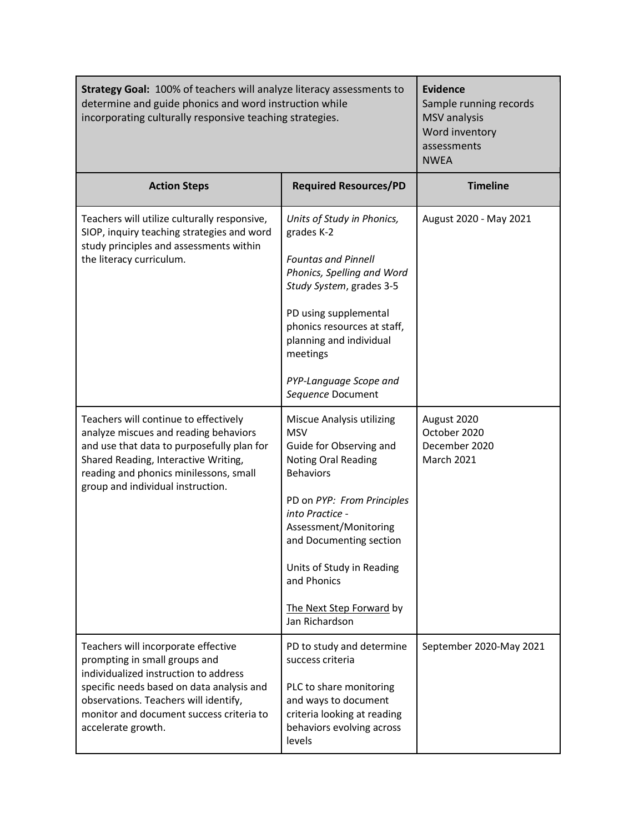| Strategy Goal: 100% of teachers will analyze literacy assessments to<br>determine and guide phonics and word instruction while<br>incorporating culturally responsive teaching strategies.                                                                            | <b>Evidence</b><br>Sample running records<br><b>MSV</b> analysis<br>Word inventory<br>assessments<br><b>NWEA</b>                                                                                                                                                                                                    |                                                                   |
|-----------------------------------------------------------------------------------------------------------------------------------------------------------------------------------------------------------------------------------------------------------------------|---------------------------------------------------------------------------------------------------------------------------------------------------------------------------------------------------------------------------------------------------------------------------------------------------------------------|-------------------------------------------------------------------|
| <b>Action Steps</b>                                                                                                                                                                                                                                                   | <b>Required Resources/PD</b>                                                                                                                                                                                                                                                                                        | <b>Timeline</b>                                                   |
| Teachers will utilize culturally responsive,<br>SIOP, inquiry teaching strategies and word<br>study principles and assessments within<br>the literacy curriculum.                                                                                                     | Units of Study in Phonics,<br>grades K-2<br><b>Fountas and Pinnell</b><br>Phonics, Spelling and Word<br>Study System, grades 3-5<br>PD using supplemental<br>phonics resources at staff,<br>planning and individual<br>meetings<br>PYP-Language Scope and<br>Sequence Document                                      | August 2020 - May 2021                                            |
| Teachers will continue to effectively<br>analyze miscues and reading behaviors<br>and use that data to purposefully plan for<br>Shared Reading, Interactive Writing,<br>reading and phonics minilessons, small<br>group and individual instruction.                   | Miscue Analysis utilizing<br><b>MSV</b><br>Guide for Observing and<br><b>Noting Oral Reading</b><br><b>Behaviors</b><br>PD on PYP: From Principles<br>into Practice -<br>Assessment/Monitoring<br>and Documenting section<br>Units of Study in Reading<br>and Phonics<br>The Next Step Forward by<br>Jan Richardson | August 2020<br>October 2020<br>December 2020<br><b>March 2021</b> |
| Teachers will incorporate effective<br>prompting in small groups and<br>individualized instruction to address<br>specific needs based on data analysis and<br>observations. Teachers will identify,<br>monitor and document success criteria to<br>accelerate growth. | PD to study and determine<br>success criteria<br>PLC to share monitoring<br>and ways to document<br>criteria looking at reading<br>behaviors evolving across<br>levels                                                                                                                                              | September 2020-May 2021                                           |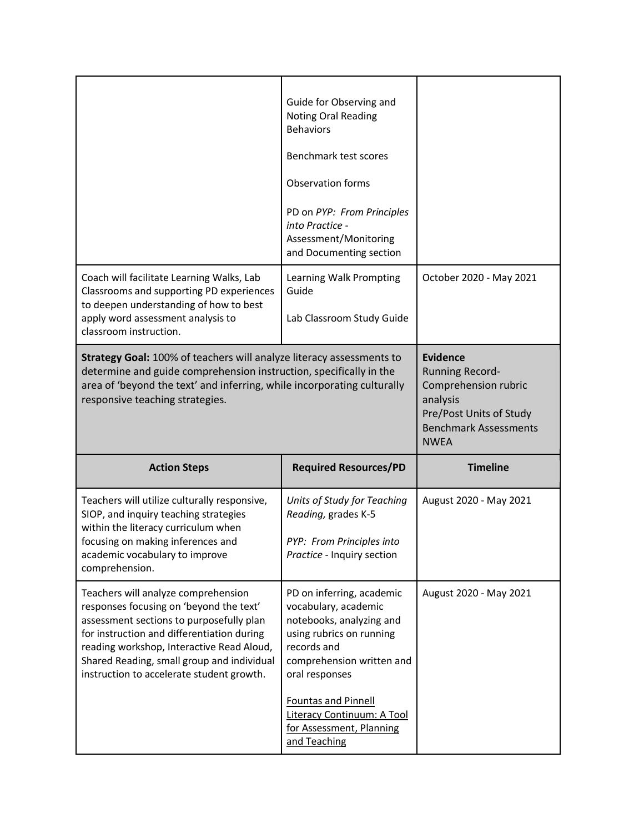|                                                                                                                                                                                                                                                          | Guide for Observing and<br><b>Noting Oral Reading</b><br><b>Behaviors</b><br>Benchmark test scores<br>Observation forms<br>PD on PYP: From Principles<br>into Practice -<br>Assessment/Monitoring<br>and Documenting section |                         |
|----------------------------------------------------------------------------------------------------------------------------------------------------------------------------------------------------------------------------------------------------------|------------------------------------------------------------------------------------------------------------------------------------------------------------------------------------------------------------------------------|-------------------------|
| Coach will facilitate Learning Walks, Lab<br>Classrooms and supporting PD experiences<br>to deepen understanding of how to best<br>apply word assessment analysis to<br>classroom instruction.                                                           | Learning Walk Prompting<br>Guide<br>Lab Classroom Study Guide                                                                                                                                                                | October 2020 - May 2021 |
| Strategy Goal: 100% of teachers will analyze literacy assessments to<br>determine and guide comprehension instruction, specifically in the<br>area of 'beyond the text' and inferring, while incorporating culturally<br>responsive teaching strategies. | <b>Evidence</b><br><b>Running Record-</b><br>Comprehension rubric<br>analysis<br>Pre/Post Units of Study<br><b>Benchmark Assessments</b><br><b>NWEA</b>                                                                      |                         |
| <b>Action Steps</b>                                                                                                                                                                                                                                      | <b>Required Resources/PD</b>                                                                                                                                                                                                 | <b>Timeline</b>         |
| Teachers will utilize culturally responsive,<br>SIOP, and inquiry teaching strategies                                                                                                                                                                    | Units of Study for Teaching<br>Reading, grades K-5                                                                                                                                                                           | August 2020 - May 2021  |
| within the literacy curriculum when<br>focusing on making inferences and<br>academic vocabulary to improve<br>comprehension.                                                                                                                             | PYP: From Principles into<br>Practice - Inquiry section                                                                                                                                                                      |                         |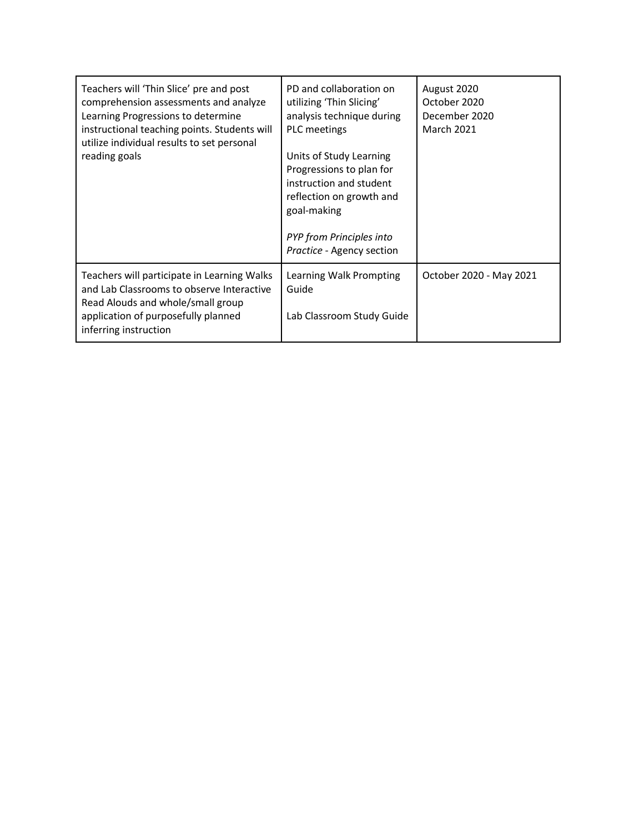| Teachers will 'Thin Slice' pre and post<br>comprehension assessments and analyze<br>Learning Progressions to determine<br>instructional teaching points. Students will<br>utilize individual results to set personal<br>reading goals | PD and collaboration on<br>utilizing 'Thin Slicing'<br>analysis technique during<br><b>PLC</b> meetings<br>Units of Study Learning<br>Progressions to plan for<br>instruction and student<br>reflection on growth and<br>goal-making<br><b>PYP</b> from Principles into<br>Practice - Agency section | August 2020<br>October 2020<br>December 2020<br><b>March 2021</b> |
|---------------------------------------------------------------------------------------------------------------------------------------------------------------------------------------------------------------------------------------|------------------------------------------------------------------------------------------------------------------------------------------------------------------------------------------------------------------------------------------------------------------------------------------------------|-------------------------------------------------------------------|
| Teachers will participate in Learning Walks<br>and Lab Classrooms to observe Interactive<br>Read Alouds and whole/small group<br>application of purposefully planned<br>inferring instruction                                         | Learning Walk Prompting<br>Guide<br>Lab Classroom Study Guide                                                                                                                                                                                                                                        | October 2020 - May 2021                                           |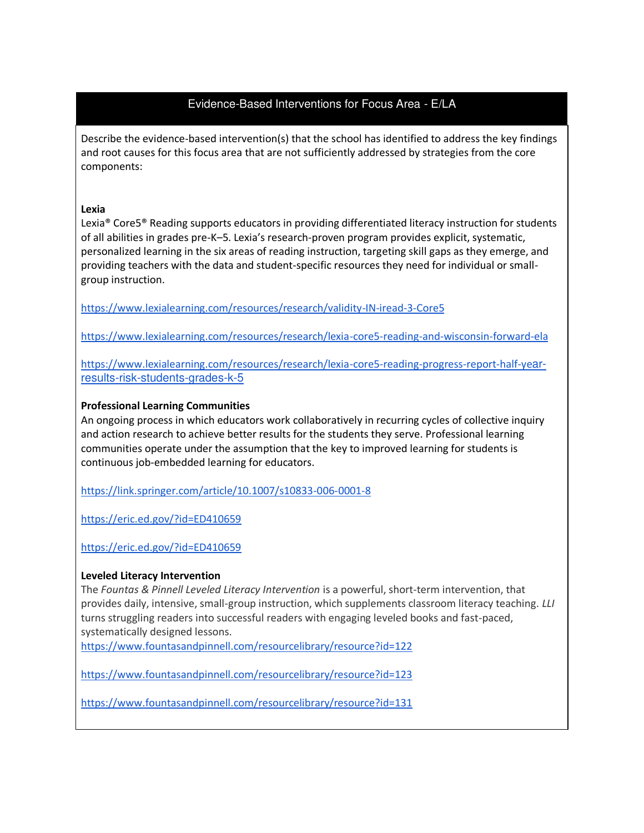# Evidence-Based Interventions for Focus Area - E/LA

Describe the evidence-based intervention(s) that the school has identified to address the key findings and root causes for this focus area that are not sufficiently addressed by strategies from the core components:

#### **Lexia**

Lexia® Core5® Reading supports educators in providing differentiated literacy instruction for students of all abilities in grades pre-K–5. Lexia's research-proven program provides explicit, systematic, personalized learning in the six areas of reading instruction, targeting skill gaps as they emerge, and providing teachers with the data and student-specific resources they need for individual or smallgroup instruction.

<https://www.lexialearning.com/resources/research/validity-IN-iread-3-Core5>

<https://www.lexialearning.com/resources/research/lexia-core5-reading-and-wisconsin-forward-ela>

[https://www.lexialearning.com/resources/research/lexia-core5-reading-progress-report-half-ye](https://www.lexialearning.com/resources/research/lexia-core5-reading-progress-report-half-year-results-risk-students-grades-k-5)[ar](https://www.lexialearning.com/resources/research/lexia-core5-reading-progress-report-half-year-results-risk-students-grades-k-5)[results-risk-students-grades-k-5](https://www.lexialearning.com/resources/research/lexia-core5-reading-progress-report-half-year-results-risk-students-grades-k-5)

#### **Professional Learning Communities**

An ongoing process in which educators work collaboratively in recurring cycles of collective inquiry and action research to achieve better results for the students they serve. Professional learning communities operate under the assumption that the key to improved learning for students is continuous job-embedded learning for educators.

<https://link.springer.com/article/10.1007/s10833-006-0001-8>

<https://eric.ed.gov/?id=ED410659>

<https://eric.ed.gov/?id=ED410659>

#### **Leveled Literacy Intervention**

The *Fountas & Pinnell Leveled Literacy Intervention* is a powerful, short-term intervention, that provides daily, intensive, small-group instruction, which supplements classroom literacy teaching. *LLI*  turns struggling readers into successful readers with engaging leveled books and fast-paced, systematically designed lessons.

<https://www.fountasandpinnell.com/resourcelibrary/resource?id=122>

<https://www.fountasandpinnell.com/resourcelibrary/resource?id=123>

<https://www.fountasandpinnell.com/resourcelibrary/resource?id=131>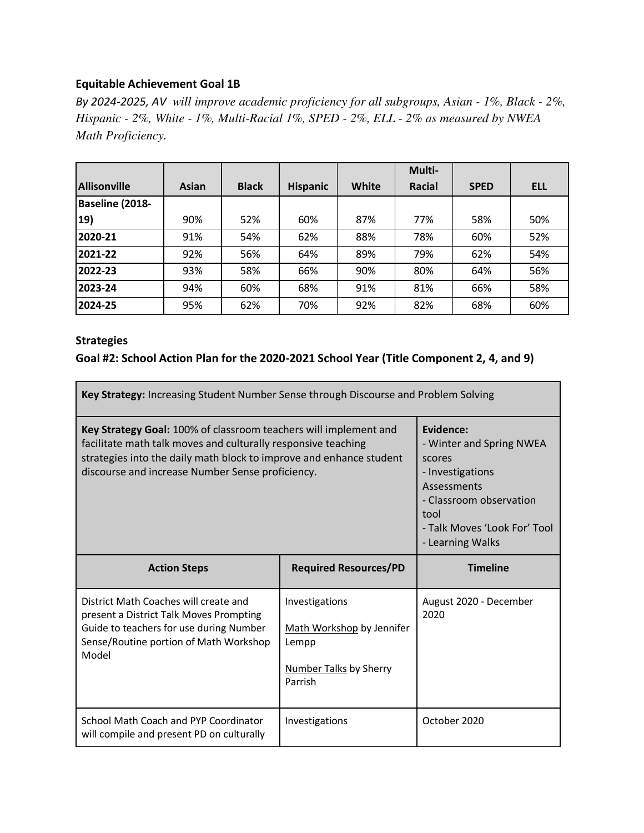### <span id="page-13-0"></span>**Equitable Achievement Goal 1B**

*By 2024-2025, AV will improve academic proficiency for all subgroups, Asian - 1%, Black - 2%, Hispanic - 2%, White - 1%, Multi-Racial 1%, SPED - 2%, ELL - 2% as measured by NWEA Math Proficiency.* 

|                     |       |              |                 |       | Multi- |             |            |
|---------------------|-------|--------------|-----------------|-------|--------|-------------|------------|
| <b>Allisonville</b> | Asian | <b>Black</b> | <b>Hispanic</b> | White | Racial | <b>SPED</b> | <b>ELL</b> |
| Baseline (2018-     |       |              |                 |       |        |             |            |
| 19)                 | 90%   | 52%          | 60%             | 87%   | 77%    | 58%         | 50%        |
| 2020-21             | 91%   | 54%          | 62%             | 88%   | 78%    | 60%         | 52%        |
| 2021-22             | 92%   | 56%          | 64%             | 89%   | 79%    | 62%         | 54%        |
| 2022-23             | 93%   | 58%          | 66%             | 90%   | 80%    | 64%         | 56%        |
| 2023-24             | 94%   | 60%          | 68%             | 91%   | 81%    | 66%         | 58%        |
| 2024-25             | 95%   | 62%          | 70%             | 92%   | 82%    | 68%         | 60%        |

### **Strategies**

### **Goal #2: School Action Plan for the 2020-2021 School Year (Title Component 2, 4, and 9)**

| Key Strategy: Increasing Student Number Sense through Discourse and Problem Solving                                                                                                                                                                          |                                                                                                                                                                           |                                |  |  |  |
|--------------------------------------------------------------------------------------------------------------------------------------------------------------------------------------------------------------------------------------------------------------|---------------------------------------------------------------------------------------------------------------------------------------------------------------------------|--------------------------------|--|--|--|
| Key Strategy Goal: 100% of classroom teachers will implement and<br>facilitate math talk moves and culturally responsive teaching<br>strategies into the daily math block to improve and enhance student<br>discourse and increase Number Sense proficiency. | Evidence:<br>- Winter and Spring NWEA<br>scores<br>- Investigations<br>Assessments<br>- Classroom observation<br>tool<br>- Talk Moves 'Look For' Tool<br>- Learning Walks |                                |  |  |  |
| <b>Action Steps</b>                                                                                                                                                                                                                                          | <b>Required Resources/PD</b>                                                                                                                                              | <b>Timeline</b>                |  |  |  |
| District Math Coaches will create and<br>present a District Talk Moves Prompting<br>Guide to teachers for use during Number<br>Sense/Routine portion of Math Workshop<br>Model                                                                               | Investigations<br>Math Workshop by Jennifer<br>Lempp<br><b>Number Talks by Sherry</b><br>Parrish                                                                          | August 2020 - December<br>2020 |  |  |  |
| School Math Coach and PYP Coordinator<br>will compile and present PD on culturally                                                                                                                                                                           | Investigations                                                                                                                                                            | October 2020                   |  |  |  |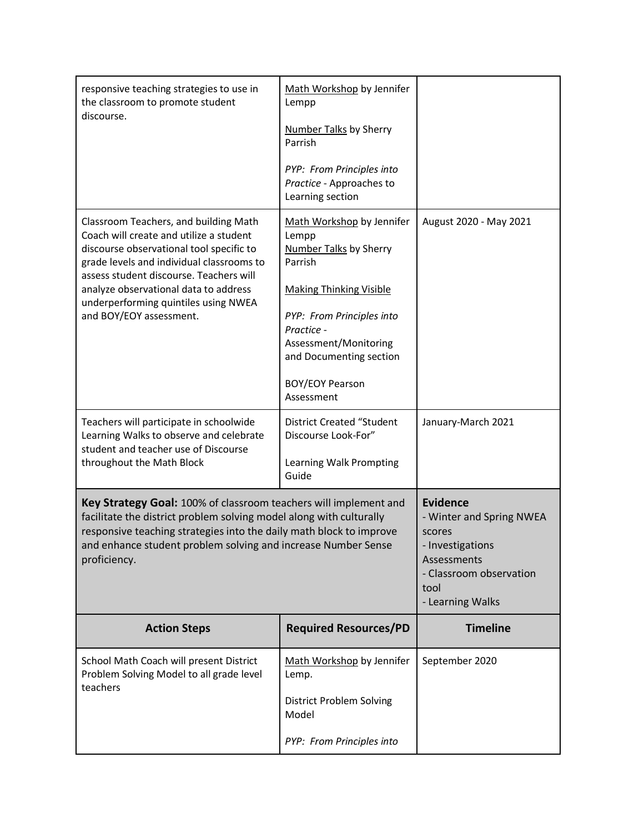| responsive teaching strategies to use in<br>the classroom to promote student<br>discourse.                                                                                                                                                                                                      | Math Workshop by Jennifer<br>Lempp<br><b>Number Talks by Sherry</b><br>Parrish              |                                                                                                                                                 |
|-------------------------------------------------------------------------------------------------------------------------------------------------------------------------------------------------------------------------------------------------------------------------------------------------|---------------------------------------------------------------------------------------------|-------------------------------------------------------------------------------------------------------------------------------------------------|
|                                                                                                                                                                                                                                                                                                 | PYP: From Principles into<br>Practice - Approaches to<br>Learning section                   |                                                                                                                                                 |
| Classroom Teachers, and building Math<br>Coach will create and utilize a student<br>discourse observational tool specific to<br>grade levels and individual classrooms to<br>assess student discourse. Teachers will                                                                            | Math Workshop by Jennifer<br>Lempp<br><b>Number Talks by Sherry</b><br>Parrish              | August 2020 - May 2021                                                                                                                          |
| analyze observational data to address                                                                                                                                                                                                                                                           | <b>Making Thinking Visible</b>                                                              |                                                                                                                                                 |
| underperforming quintiles using NWEA<br>and BOY/EOY assessment.                                                                                                                                                                                                                                 | PYP: From Principles into<br>Practice -<br>Assessment/Monitoring<br>and Documenting section |                                                                                                                                                 |
|                                                                                                                                                                                                                                                                                                 | <b>BOY/EOY Pearson</b><br>Assessment                                                        |                                                                                                                                                 |
| Teachers will participate in schoolwide<br>Learning Walks to observe and celebrate<br>student and teacher use of Discourse                                                                                                                                                                      | <b>District Created "Student</b><br>Discourse Look-For"                                     | January-March 2021                                                                                                                              |
| throughout the Math Block                                                                                                                                                                                                                                                                       | Learning Walk Prompting<br>Guide                                                            |                                                                                                                                                 |
| Key Strategy Goal: 100% of classroom teachers will implement and<br>facilitate the district problem solving model along with culturally<br>responsive teaching strategies into the daily math block to improve<br>and enhance student problem solving and increase Number Sense<br>proficiency. |                                                                                             | <b>Evidence</b><br>- Winter and Spring NWEA<br>scores<br>- Investigations<br>Assessments<br>- Classroom observation<br>tool<br>- Learning Walks |
| <b>Action Steps</b>                                                                                                                                                                                                                                                                             | <b>Required Resources/PD</b>                                                                | <b>Timeline</b>                                                                                                                                 |
| School Math Coach will present District<br>Problem Solving Model to all grade level<br>teachers                                                                                                                                                                                                 | Math Workshop by Jennifer<br>Lemp.                                                          | September 2020                                                                                                                                  |
|                                                                                                                                                                                                                                                                                                 | <b>District Problem Solving</b><br>Model                                                    |                                                                                                                                                 |
|                                                                                                                                                                                                                                                                                                 | PYP: From Principles into                                                                   |                                                                                                                                                 |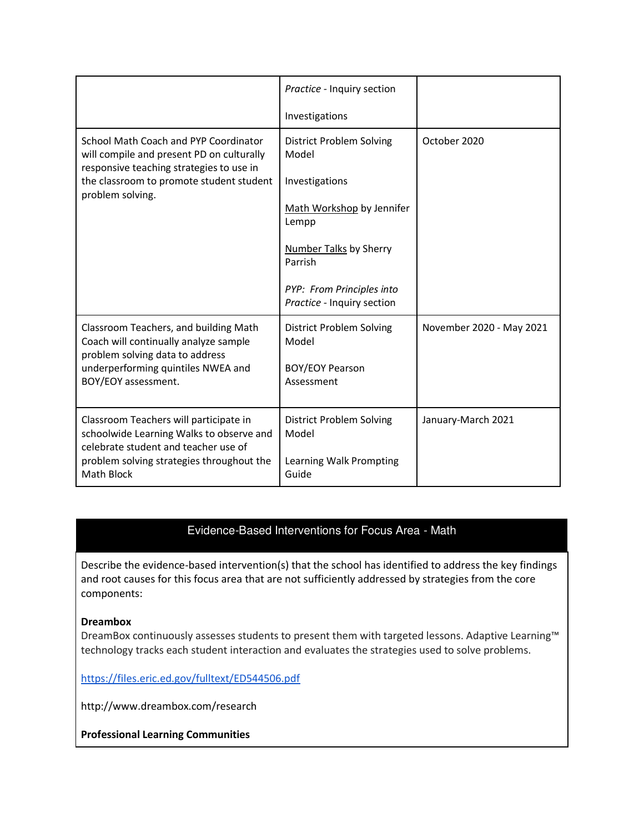|                                                                                                                                                                                                | Practice - Inquiry section<br>Investigations                                                                                                                                                            |                          |
|------------------------------------------------------------------------------------------------------------------------------------------------------------------------------------------------|---------------------------------------------------------------------------------------------------------------------------------------------------------------------------------------------------------|--------------------------|
| School Math Coach and PYP Coordinator<br>will compile and present PD on culturally<br>responsive teaching strategies to use in<br>the classroom to promote student student<br>problem solving. | <b>District Problem Solving</b><br>Model<br>Investigations<br>Math Workshop by Jennifer<br>Lempp<br><b>Number Talks by Sherry</b><br>Parrish<br>PYP: From Principles into<br>Practice - Inquiry section | October 2020             |
| Classroom Teachers, and building Math<br>Coach will continually analyze sample<br>problem solving data to address<br>underperforming quintiles NWEA and<br>BOY/EOY assessment.                 | <b>District Problem Solving</b><br>Model<br><b>BOY/EOY Pearson</b><br>Assessment                                                                                                                        | November 2020 - May 2021 |
| Classroom Teachers will participate in<br>schoolwide Learning Walks to observe and<br>celebrate student and teacher use of<br>problem solving strategies throughout the<br>Math Block          | District Problem Solving<br>Model<br>Learning Walk Prompting<br>Guide                                                                                                                                   | January-March 2021       |

### Evidence-Based Interventions for Focus Area - Math

Describe the evidence-based intervention(s) that the school has identified to address the key findings and root causes for this focus area that are not sufficiently addressed by strategies from the core components:

#### **Dreambox**

DreamBox continuously assesses students to present them with targeted lessons. Adaptive Learning™ technology tracks each student interaction and evaluates the strategies used to solve problems.

<https://files.eric.ed.gov/fulltext/ED544506.pdf>

http://www.dreambox.com/research

**Professional Learning Communities**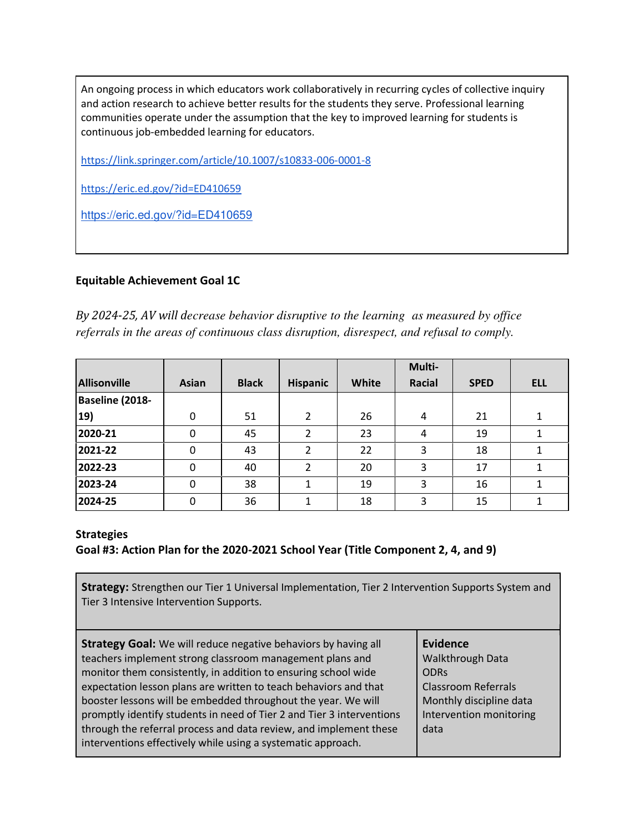An ongoing process in which educators work collaboratively in recurring cycles of collective inquiry and action research to achieve better results for the students they serve. Professional learning communities operate under the assumption that the key to improved learning for students is continuous job-embedded learning for educators.

<https://link.springer.com/article/10.1007/s10833-006-0001-8>

<https://eric.ed.gov/?id=ED410659>

<https://eric.ed.gov/?id=ED410659>

### <span id="page-16-0"></span>**Equitable Achievement Goal 1C**

*By 2024-25, AV will decrease behavior disruptive to the learning as measured by office referrals in the areas of continuous class disruption, disrespect, and refusal to comply.* 

|                     |              |              |                 |       | Multi-        |             |            |
|---------------------|--------------|--------------|-----------------|-------|---------------|-------------|------------|
| <b>Allisonville</b> | Asian        | <b>Black</b> | <b>Hispanic</b> | White | <b>Racial</b> | <b>SPED</b> | <b>ELL</b> |
| Baseline (2018-     |              |              |                 |       |               |             |            |
| 19)                 | 0            | 51           | $\mathfrak{p}$  | 26    | 4             | 21          |            |
| 2020-21             | 0            | 45           | 2               | 23    | 4             | 19          |            |
| 2021-22             |              | 43           | 2               | 22    | 3             | 18          |            |
| 2022-23             | 0            | 40           |                 | 20    | 3             | 17          |            |
| 2023-24             | 0            | 38           |                 | 19    | 3             | 16          |            |
| 2024-25             | <sup>0</sup> | 36           |                 | 18    | 3             | 15          |            |

#### **Strategies**

### **Goal #3: Action Plan for the 2020-2021 School Year (Title Component 2, 4, and 9)**

**Strategy:** Strengthen our Tier 1 Universal Implementation, Tier 2 Intervention Supports System and Tier 3 Intensive Intervention Supports.

| monitor them consistently, in addition to ensuring school wide<br><b>ODRs</b><br>expectation lesson plans are written to teach behaviors and that<br>booster lessons will be embedded throughout the year. We will<br>promptly identify students in need of Tier 2 and Tier 3 interventions<br>through the referral process and data review, and implement these<br>data | <b>Classroom Referrals</b><br>Monthly discipline data<br>Intervention monitoring |
|--------------------------------------------------------------------------------------------------------------------------------------------------------------------------------------------------------------------------------------------------------------------------------------------------------------------------------------------------------------------------|----------------------------------------------------------------------------------|
| interventions effectively while using a systematic approach.                                                                                                                                                                                                                                                                                                             |                                                                                  |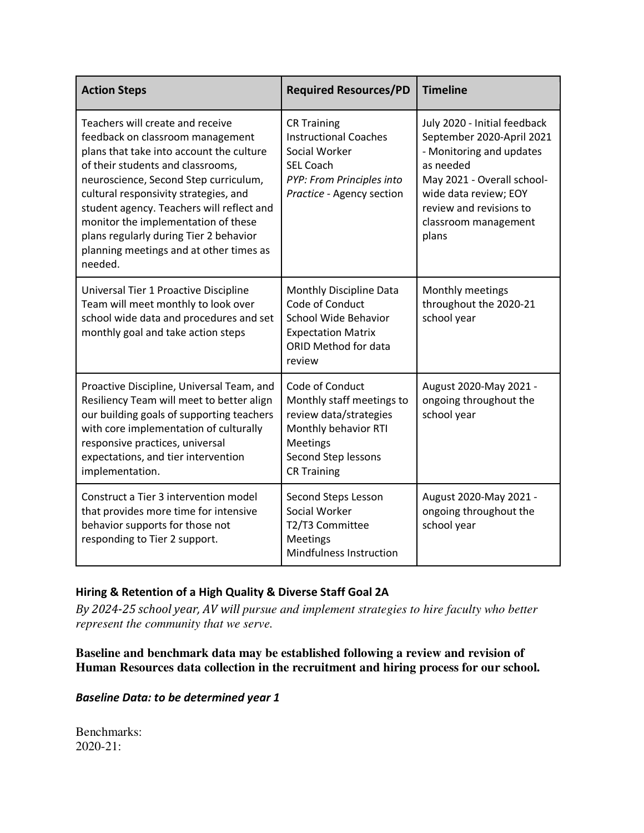| <b>Action Steps</b>                                                                                                                                                                                                                                                                                                                                                                                                         | <b>Required Resources/PD</b>                                                                                                                                   | <b>Timeline</b>                                                                                                                                                                                                       |
|-----------------------------------------------------------------------------------------------------------------------------------------------------------------------------------------------------------------------------------------------------------------------------------------------------------------------------------------------------------------------------------------------------------------------------|----------------------------------------------------------------------------------------------------------------------------------------------------------------|-----------------------------------------------------------------------------------------------------------------------------------------------------------------------------------------------------------------------|
| Teachers will create and receive<br>feedback on classroom management<br>plans that take into account the culture<br>of their students and classrooms,<br>neuroscience, Second Step curriculum,<br>cultural responsivity strategies, and<br>student agency. Teachers will reflect and<br>monitor the implementation of these<br>plans regularly during Tier 2 behavior<br>planning meetings and at other times as<br>needed. | <b>CR Training</b><br><b>Instructional Coaches</b><br>Social Worker<br><b>SEL Coach</b><br>PYP: From Principles into<br>Practice - Agency section              | July 2020 - Initial feedback<br>September 2020-April 2021<br>- Monitoring and updates<br>as needed<br>May 2021 - Overall school-<br>wide data review; EOY<br>review and revisions to<br>classroom management<br>plans |
| Universal Tier 1 Proactive Discipline<br>Team will meet monthly to look over<br>school wide data and procedures and set<br>monthly goal and take action steps                                                                                                                                                                                                                                                               | Monthly Discipline Data<br>Code of Conduct<br>School Wide Behavior<br><b>Expectation Matrix</b><br>ORID Method for data<br>review                              | Monthly meetings<br>throughout the 2020-21<br>school year                                                                                                                                                             |
| Proactive Discipline, Universal Team, and<br>Resiliency Team will meet to better align<br>our building goals of supporting teachers<br>with core implementation of culturally<br>responsive practices, universal<br>expectations, and tier intervention<br>implementation.                                                                                                                                                  | Code of Conduct<br>Monthly staff meetings to<br>review data/strategies<br>Monthly behavior RTI<br><b>Meetings</b><br>Second Step lessons<br><b>CR Training</b> | August 2020-May 2021 -<br>ongoing throughout the<br>school year                                                                                                                                                       |
| Construct a Tier 3 intervention model<br>that provides more time for intensive<br>behavior supports for those not<br>responding to Tier 2 support.                                                                                                                                                                                                                                                                          | Second Steps Lesson<br>Social Worker<br>T2/T3 Committee<br><b>Meetings</b><br>Mindfulness Instruction                                                          | August 2020-May 2021 -<br>ongoing throughout the<br>school year                                                                                                                                                       |

# <span id="page-17-0"></span>**Hiring & Retention of a High Quality & Diverse Staff Goal 2A**

*By 2024-25 school year, AV will pursue and implement strategies to hire faculty who better represent the community that we serve.* 

**Baseline and benchmark data may be established following a review and revision of Human Resources data collection in the recruitment and hiring process for our school.** 

*Baseline Data: to be determined year 1* 

Benchmarks: 2020-21: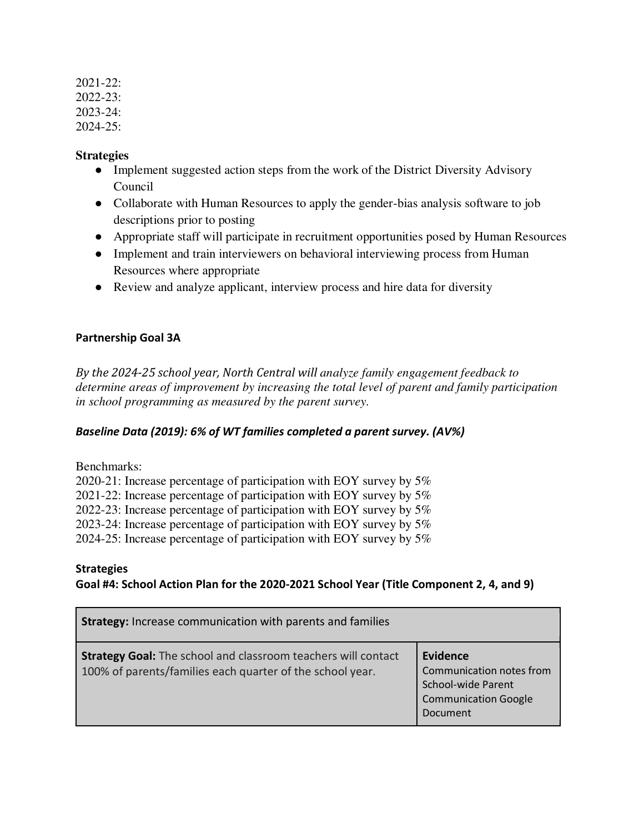2021-22: 2022-23: 2023-24: 2024-25:

### **Strategies**

- Implement suggested action steps from the work of the District Diversity Advisory Council
- Collaborate with Human Resources to apply the gender-bias analysis software to job descriptions prior to posting
- Appropriate staff will participate in recruitment opportunities posed by Human Resources
- Implement and train interviewers on behavioral interviewing process from Human Resources where appropriate
- Review and analyze applicant, interview process and hire data for diversity

### <span id="page-18-0"></span>**Partnership Goal 3A**

*By the 2024-25 school year, North Central will analyze family engagement feedback to determine areas of improvement by increasing the total level of parent and family participation in school programming as measured by the parent survey.* 

### *Baseline Data (2019): 6% of WT families completed a parent survey. (AV%)*

Benchmarks:

2020-21: Increase percentage of participation with EOY survey by 5% 2021-22: Increase percentage of participation with EOY survey by 5% 2022-23: Increase percentage of participation with EOY survey by 5% 2023-24: Increase percentage of participation with EOY survey by 5% 2024-25: Increase percentage of participation with EOY survey by 5%

### **Strategies**

# **Goal #4: School Action Plan for the 2020-2021 School Year (Title Component 2, 4, and 9)**

| <b>Strategy:</b> Increase communication with parents and families                                                                 |                                                                                                       |  |  |  |  |
|-----------------------------------------------------------------------------------------------------------------------------------|-------------------------------------------------------------------------------------------------------|--|--|--|--|
| <b>Strategy Goal:</b> The school and classroom teachers will contact<br>100% of parents/families each quarter of the school year. | Evidence<br>Communication notes from<br>School-wide Parent<br><b>Communication Google</b><br>Document |  |  |  |  |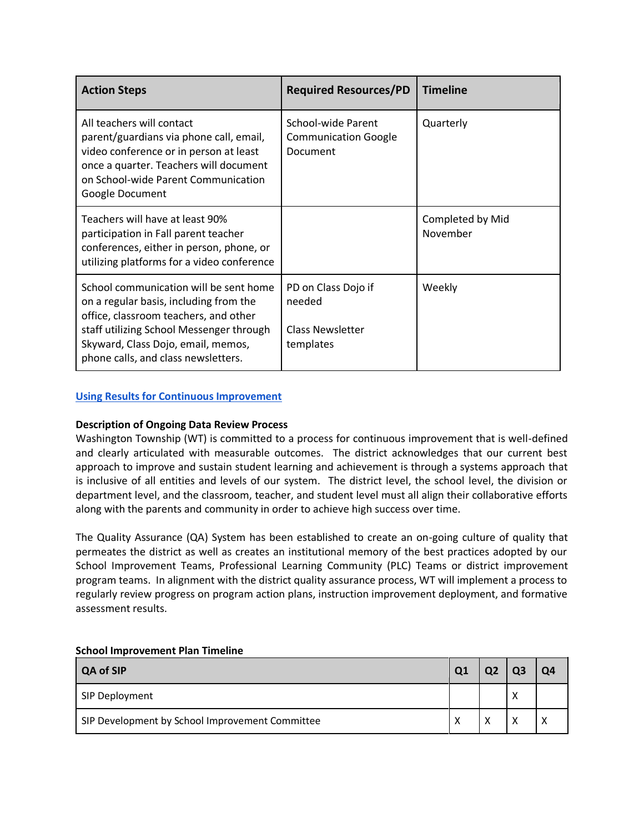| <b>Action Steps</b>                                                                                                                                                                                                                                | <b>Required Resources/PD</b>                                          | <b>Timeline</b>              |  |  |  |
|----------------------------------------------------------------------------------------------------------------------------------------------------------------------------------------------------------------------------------------------------|-----------------------------------------------------------------------|------------------------------|--|--|--|
| All teachers will contact<br>parent/guardians via phone call, email,<br>video conference or in person at least<br>once a quarter. Teachers will document<br>on School-wide Parent Communication<br>Google Document                                 | School-wide Parent<br><b>Communication Google</b><br>Document         | Quarterly                    |  |  |  |
| Teachers will have at least 90%<br>participation in Fall parent teacher<br>conferences, either in person, phone, or<br>utilizing platforms for a video conference                                                                                  |                                                                       | Completed by Mid<br>November |  |  |  |
| School communication will be sent home<br>on a regular basis, including from the<br>office, classroom teachers, and other<br>staff utilizing School Messenger through<br>Skyward, Class Dojo, email, memos,<br>phone calls, and class newsletters. | PD on Class Dojo if<br>needed<br><b>Class Newsletter</b><br>templates | Weekly                       |  |  |  |

#### **[Using Results for Continuous Improvement](https://docs.google.com/document/d/1QGDdmL_Ftpb_uYAX_TibmFJVkgOKh5izLVujl7mFchs/edit#bookmark=id.9nw07jfro1ey)**

#### **Description of Ongoing Data Review Process**

Washington Township (WT) is committed to a process for continuous improvement that is well-defined and clearly articulated with measurable outcomes. The district acknowledges that our current best approach to improve and sustain student learning and achievement is through a systems approach that is inclusive of all entities and levels of our system. The district level, the school level, the division or department level, and the classroom, teacher, and student level must all align their collaborative efforts along with the parents and community in order to achieve high success over time.

The Quality Assurance (QA) System has been established to create an on-going culture of quality that permeates the district as well as creates an institutional memory of the best practices adopted by our School Improvement Teams, Professional Learning Community (PLC) Teams or district improvement program teams. In alignment with the district quality assurance process, WT will implement a process to regularly review progress on program action plans, instruction improvement deployment, and formative assessment results.

| <b>QA of SIP</b>                                | Q <sub>1</sub> |                   |        | Ο4 |
|-------------------------------------------------|----------------|-------------------|--------|----|
| SIP Deployment                                  |                |                   | N<br>↗ |    |
| SIP Development by School Improvement Committee | X              | $\checkmark$<br>↗ |        |    |

#### **School Improvement Plan Timeline**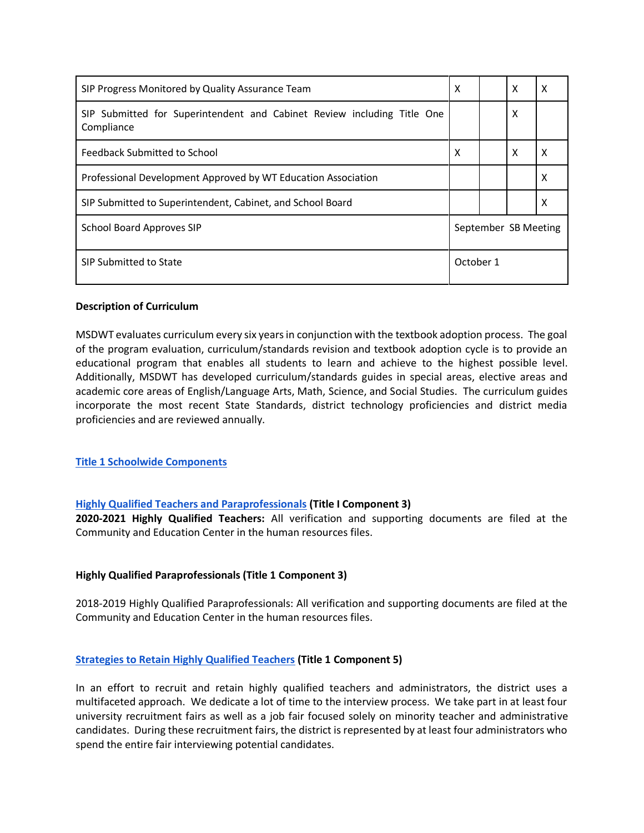| SIP Progress Monitored by Quality Assurance Team                                      | X                    |  | X | x |  |
|---------------------------------------------------------------------------------------|----------------------|--|---|---|--|
| SIP Submitted for Superintendent and Cabinet Review including Title One<br>Compliance |                      |  | X |   |  |
| <b>Feedback Submitted to School</b>                                                   | X                    |  | X | X |  |
| Professional Development Approved by WT Education Association                         |                      |  |   | X |  |
| SIP Submitted to Superintendent, Cabinet, and School Board                            |                      |  |   | х |  |
| <b>School Board Approves SIP</b>                                                      | September SB Meeting |  |   |   |  |
| SIP Submitted to State                                                                | October 1            |  |   |   |  |

#### **Description of Curriculum**

MSDWT evaluates curriculum every six years in conjunction with the textbook adoption process. The goal of the program evaluation, curriculum/standards revision and textbook adoption cycle is to provide an educational program that enables all students to learn and achieve to the highest possible level. Additionally, MSDWT has developed curriculum/standards guides in special areas, elective areas and academic core areas of English/Language Arts, Math, Science, and Social Studies. The curriculum guides incorporate the most recent State Standards, district technology proficiencies and district media proficiencies and are reviewed annually.

#### **[Title 1 Schoolwide Components](https://docs.google.com/document/d/1QGDdmL_Ftpb_uYAX_TibmFJVkgOKh5izLVujl7mFchs/edit#bookmark=id.9nw07jfro1ey)**

#### **[Highly Qualified Teachers and Paraprofessionals](https://docs.google.com/document/d/1QGDdmL_Ftpb_uYAX_TibmFJVkgOKh5izLVujl7mFchs/edit#bookmark=id.9nw07jfro1ey) (Title I Component 3)**

**2020-2021 Highly Qualified Teachers:** All verification and supporting documents are filed at the Community and Education Center in the human resources files.

#### **Highly Qualified Paraprofessionals (Title 1 Component 3)**

2018-2019 Highly Qualified Paraprofessionals: All verification and supporting documents are filed at the Community and Education Center in the human resources files.

#### **[Strategies to Retain Highly Qualified Teachers](https://docs.google.com/document/d/1QGDdmL_Ftpb_uYAX_TibmFJVkgOKh5izLVujl7mFchs/edit#bookmark=id.9nw07jfro1ey) (Title 1 Component 5)**

In an effort to recruit and retain highly qualified teachers and administrators, the district uses a multifaceted approach. We dedicate a lot of time to the interview process. We take part in at least four university recruitment fairs as well as a job fair focused solely on minority teacher and administrative candidates. During these recruitment fairs, the district is represented by at least four administrators who spend the entire fair interviewing potential candidates.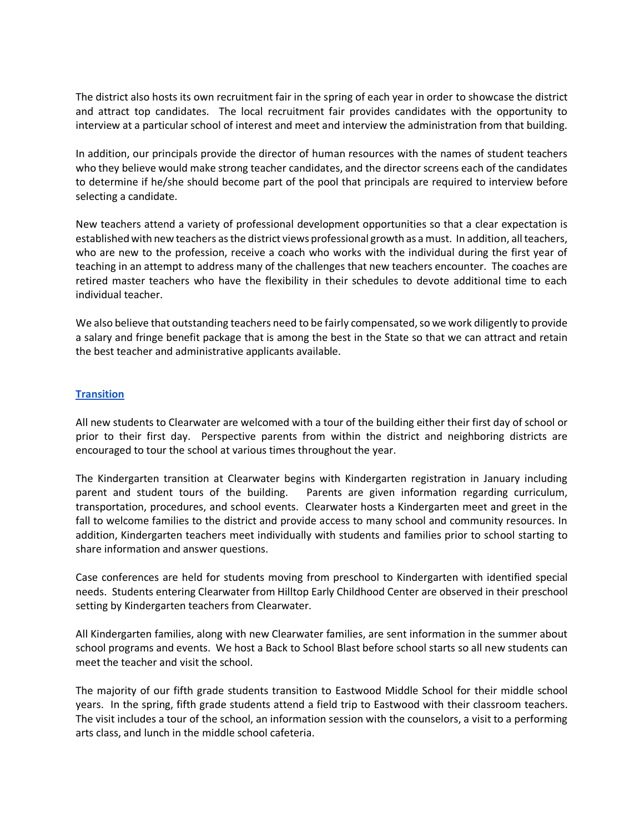The district also hosts its own recruitment fair in the spring of each year in order to showcase the district and attract top candidates. The local recruitment fair provides candidates with the opportunity to interview at a particular school of interest and meet and interview the administration from that building.

In addition, our principals provide the director of human resources with the names of student teachers who they believe would make strong teacher candidates, and the director screens each of the candidates to determine if he/she should become part of the pool that principals are required to interview before selecting a candidate.

New teachers attend a variety of professional development opportunities so that a clear expectation is established with new teachers as the district views professional growth as a must. In addition, all teachers, who are new to the profession, receive a coach who works with the individual during the first year of teaching in an attempt to address many of the challenges that new teachers encounter. The coaches are retired master teachers who have the flexibility in their schedules to devote additional time to each individual teacher.

We also believe that outstanding teachers need to be fairly compensated, so we work diligently to provide a salary and fringe benefit package that is among the best in the State so that we can attract and retain the best teacher and administrative applicants available.

#### **[Transition](https://docs.google.com/document/d/1QGDdmL_Ftpb_uYAX_TibmFJVkgOKh5izLVujl7mFchs/edit#bookmark=id.9nw07jfro1ey)**

All new students to Clearwater are welcomed with a tour of the building either their first day of school or prior to their first day. Perspective parents from within the district and neighboring districts are encouraged to tour the school at various times throughout the year.

The Kindergarten transition at Clearwater begins with Kindergarten registration in January including parent and student tours of the building. Parents are given information regarding curriculum, transportation, procedures, and school events. Clearwater hosts a Kindergarten meet and greet in the fall to welcome families to the district and provide access to many school and community resources. In addition, Kindergarten teachers meet individually with students and families prior to school starting to share information and answer questions.

Case conferences are held for students moving from preschool to Kindergarten with identified special needs. Students entering Clearwater from Hilltop Early Childhood Center are observed in their preschool setting by Kindergarten teachers from Clearwater.

All Kindergarten families, along with new Clearwater families, are sent information in the summer about school programs and events. We host a Back to School Blast before school starts so all new students can meet the teacher and visit the school.

The majority of our fifth grade students transition to Eastwood Middle School for their middle school years. In the spring, fifth grade students attend a field trip to Eastwood with their classroom teachers. The visit includes a tour of the school, an information session with the counselors, a visit to a performing arts class, and lunch in the middle school cafeteria.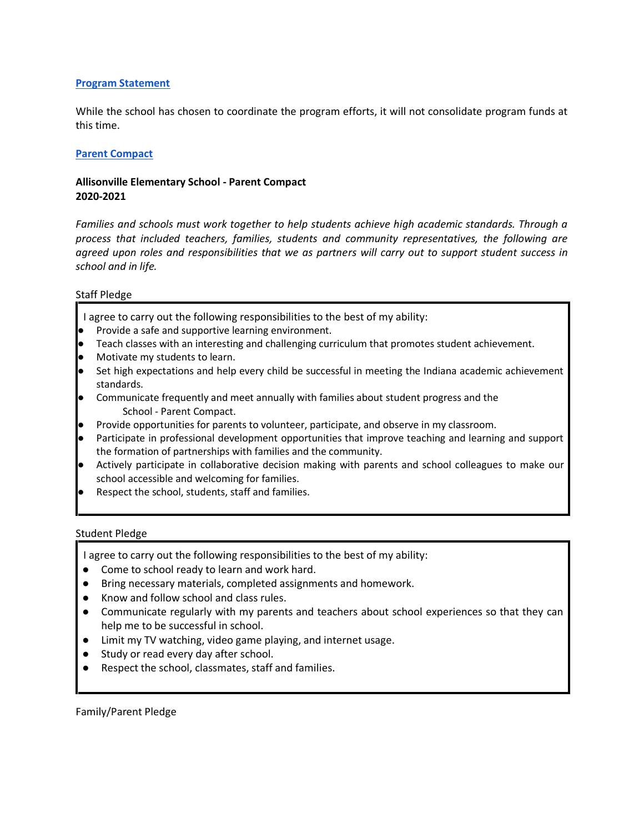#### **[Program Statement](https://docs.google.com/document/d/1QGDdmL_Ftpb_uYAX_TibmFJVkgOKh5izLVujl7mFchs/edit#bookmark=id.9nw07jfro1ey)**

While the school has chosen to coordinate the program efforts, it will not consolidate program funds at this time.

#### **[Parent Compact](https://docs.google.com/document/d/1QGDdmL_Ftpb_uYAX_TibmFJVkgOKh5izLVujl7mFchs/edit#bookmark=id.9nw07jfro1ey)**

### **Allisonville Elementary School - Parent Compact 2020-2021**

*Families and schools must work together to help students achieve high academic standards. Through a process that included teachers, families, students and community representatives, the following are agreed upon roles and responsibilities that we as partners will carry out to support student success in school and in life.* 

#### Staff Pledge

I agree to carry out the following responsibilities to the best of my ability:

- Provide a safe and supportive learning environment.
- Teach classes with an interesting and challenging curriculum that promotes student achievement.
- Motivate my students to learn.
- Set high expectations and help every child be successful in meeting the Indiana academic achievement standards.
- Communicate frequently and meet annually with families about student progress and the School - Parent Compact.
- Provide opportunities for parents to volunteer, participate, and observe in my classroom.
- Participate in professional development opportunities that improve teaching and learning and support the formation of partnerships with families and the community.
- Actively participate in collaborative decision making with parents and school colleagues to make our school accessible and welcoming for families.
- Respect the school, students, staff and families.

#### Student Pledge

I agree to carry out the following responsibilities to the best of my ability:

- Come to school ready to learn and work hard.
- Bring necessary materials, completed assignments and homework.
- Know and follow school and class rules.
- Communicate regularly with my parents and teachers about school experiences so that they can help me to be successful in school.
- Limit my TV watching, video game playing, and internet usage.
- Study or read every day after school.
- Respect the school, classmates, staff and families.

Family/Parent Pledge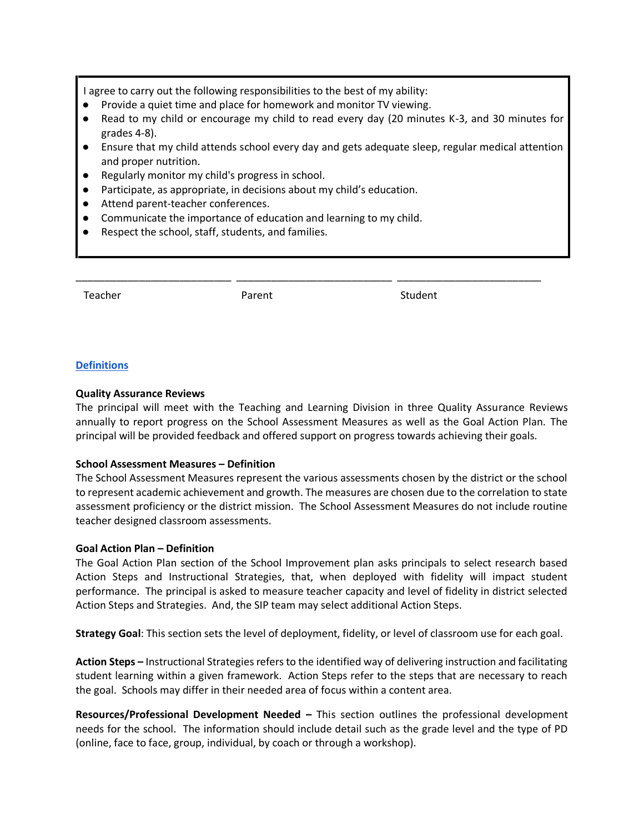I agree to carry out the following responsibilities to the best of my ability:

- Provide a quiet time and place for homework and monitor TV viewing.
- Read to my child or encourage my child to read every day (20 minutes K-3, and 30 minutes for grades 4-8).
- Ensure that my child attends school every day and gets adequate sleep, regular medical attention and proper nutrition.

\_\_\_\_\_\_\_\_\_\_\_\_\_\_\_\_\_\_\_\_\_\_\_\_\_\_\_ \_\_\_\_\_\_\_\_\_\_\_\_\_\_\_\_\_\_\_\_\_\_\_\_\_\_\_ \_\_\_\_\_\_\_\_\_\_\_\_\_\_\_\_\_\_\_\_\_\_\_\_\_

- Regularly monitor my child's progress in school.
- Participate, as appropriate, in decisions about my child's education.
- Attend parent-teacher conferences.
- Communicate the importance of education and learning to my child.
- Respect the school, staff, students, and families.

Teacher **Parent Student** Parent Student

#### **[Definitions](https://docs.google.com/document/d/1QGDdmL_Ftpb_uYAX_TibmFJVkgOKh5izLVujl7mFchs/edit#bookmark=id.9nw07jfro1ey)**

#### **Quality Assurance Reviews**

The principal will meet with the Teaching and Learning Division in three Quality Assurance Reviews annually to report progress on the School Assessment Measures as well as the Goal Action Plan. The principal will be provided feedback and offered support on progress towards achieving their goals.

#### **School Assessment Measures – Definition**

The School Assessment Measures represent the various assessments chosen by the district or the school to represent academic achievement and growth. The measures are chosen due to the correlation to state assessment proficiency or the district mission. The School Assessment Measures do not include routine teacher designed classroom assessments.

#### **Goal Action Plan – Definition**

The Goal Action Plan section of the School Improvement plan asks principals to select research based Action Steps and Instructional Strategies, that, when deployed with fidelity will impact student performance. The principal is asked to measure teacher capacity and level of fidelity in district selected Action Steps and Strategies. And, the SIP team may select additional Action Steps.

**Strategy Goal**: This section sets the level of deployment, fidelity, or level of classroom use for each goal.

**Action Steps –** Instructional Strategies refers to the identified way of delivering instruction and facilitating student learning within a given framework. Action Steps refer to the steps that are necessary to reach the goal. Schools may differ in their needed area of focus within a content area.

**Resources/Professional Development Needed –** This section outlines the professional development needs for the school. The information should include detail such as the grade level and the type of PD (online, face to face, group, individual, by coach or through a workshop).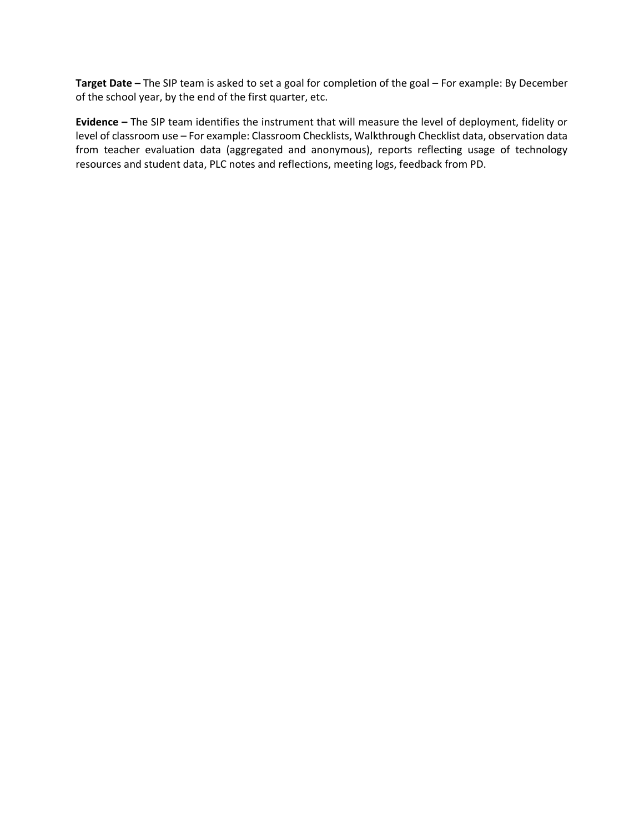**Target Date –** The SIP team is asked to set a goal for completion of the goal – For example: By December of the school year, by the end of the first quarter, etc.

**Evidence –** The SIP team identifies the instrument that will measure the level of deployment, fidelity or level of classroom use – For example: Classroom Checklists, Walkthrough Checklist data, observation data from teacher evaluation data (aggregated and anonymous), reports reflecting usage of technology resources and student data, PLC notes and reflections, meeting logs, feedback from PD.